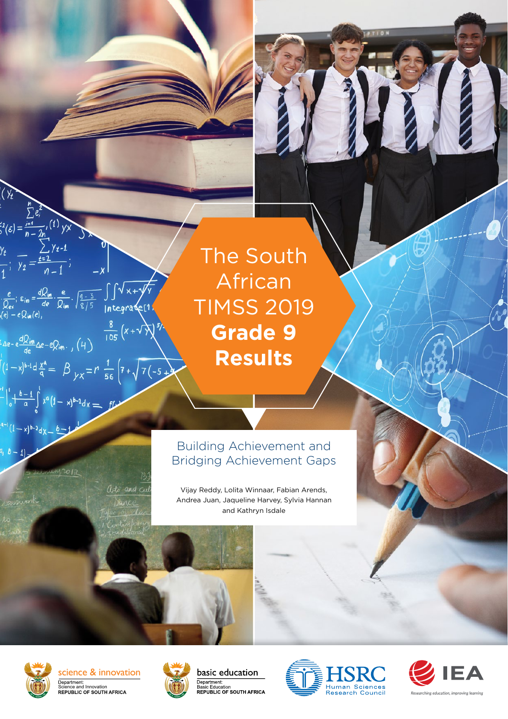The South African TIMSS 2019 **Grade 9 Results**

# Building Achievement and Bridging Achievement Gaps

Vijay Reddy, Lolita Winnaar, Fabian Arends, Andrea Juan, Jaqueline Harvey, Sylvia Hannan and Kathryn Isdale



 $\zeta^2(\varepsilon) = \frac{\overline{1-\varepsilon}}{n-2n}$ 

 $\int_{0}^{4} \left| \frac{b-1}{a} \right|$ 

 $(1-x)^{b-2}dx$ 

 $\frac{y_t}{y_1}$ ;  $\frac{1}{y_2} = \frac{t-1}{n-1}$ 

 $\frac{dQ_{im}}{d\epsilon}$   $\Delta \epsilon - eQ_{im}$ .,  $(4)$ 

 $\frac{e}{Q_{ex}}$ ;  $\varepsilon_{in} = \frac{dQ_{im}}{de} \cdot \frac{e}{Q_{im}} \cdot \sqrt{\frac{q-3}{8/5}} \int \sqrt{x+y/y}$ <br>(e)  $-eQ_{in}(e)$ ,

 $\int_{1}^{1} (1-x)^{b-1} dx \frac{x^{a}}{a} = \beta \int_{1}^{1} (1-x)^{b-1} dx = \int_{1}^{1} (1-x)^{b-1} dx$ 

 $(x)^{b-1}dx = f(x)$ 

 $\frac{8}{105}$  (x +  $\sqrt{2}$ )

arts and cu *<u>Nance</u>* 

science & innovation Department:<br>Science and Innovation<br>REPUBLIC OF SOUTH AFRICA







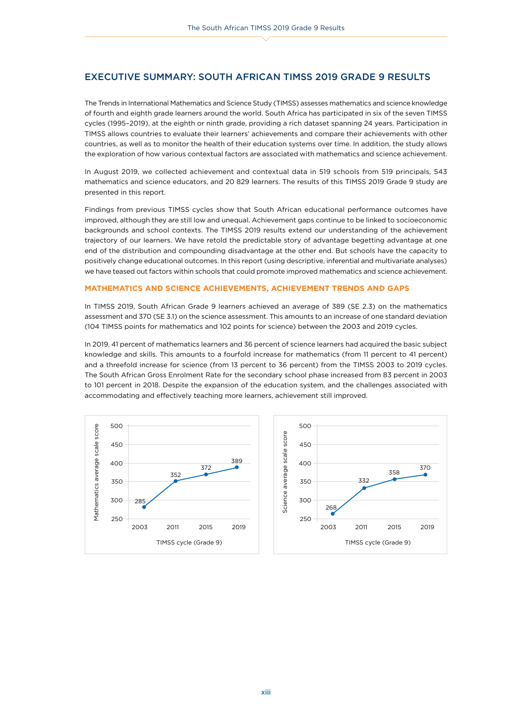# EXECUTIVE SUMMARY: SOUTH AFRICAN TIMSS 2019 GRADE 9 RESULTS

The Trends in International Mathematics and Science Study (TIMSS) assesses mathematics and science knowledge of fourth and eighth grade learners around the world. South Africa has participated in six of the seven TIMSS cycles (1995–2019), at the eighth or ninth grade, providing a rich dataset spanning 24 years. Participation in TIMSS allows countries to evaluate their learners' achievements and compare their achievements with other countries, as well as to monitor the health of their education systems over time. In addition, the study allows the exploration of how various contextual factors are associated with mathematics and science achievement.

In August 2019, we collected achievement and contextual data in 519 schools from 519 principals, 543 mathematics and science educators, and 20 829 learners. The results of this TIMSS 2019 Grade 9 study are presented in this report.

Findings from previous TIMSS cycles show that South African educational performance outcomes have improved, although they are still low and unequal. Achievement gaps continue to be linked to socioeconomic backgrounds and school contexts. The TIMSS 2019 results extend our understanding of the achievement trajectory of our learners. We have retold the predictable story of advantage begetting advantage at one end of the distribution and compounding disadvantage at the other end. But schools have the capacity to positively change educational outcomes. In this report (using descriptive, inferential and multivariate analyses) we have teased out factors within schools that could promote improved mathematics and science achievement.

# **MATHEMATICS AND SCIENCE ACHIEVEMENTS, ACHIEVEMENT TRENDS AND GAPS**

In TIMSS 2019, South African Grade 9 learners achieved an average of 389 (SE 2.3) on the mathematics assessment and 370 (SE 3.1) on the science assessment. This amounts to an increase of one standard deviation (104 TIMSS points for mathematics and 102 points for science) between the 2003 and 2019 cycles.

In 2019, 41 percent of mathematics learners and 36 percent of science learners had acquired the basic subject knowledge and skills. This amounts to a fourfold increase for mathematics (from 11 percent to 41 percent) and a threefold increase for science (from 13 percent to 36 percent) from the TIMSS 2003 to 2019 cycles. The South African Gross Enrolment Rate for the secondary school phase increased from 83 percent in 2003 to 101 percent in 2018. Despite the expansion of the education system, and the challenges associated with accommodating and effectively teaching more learners, achievement still improved.



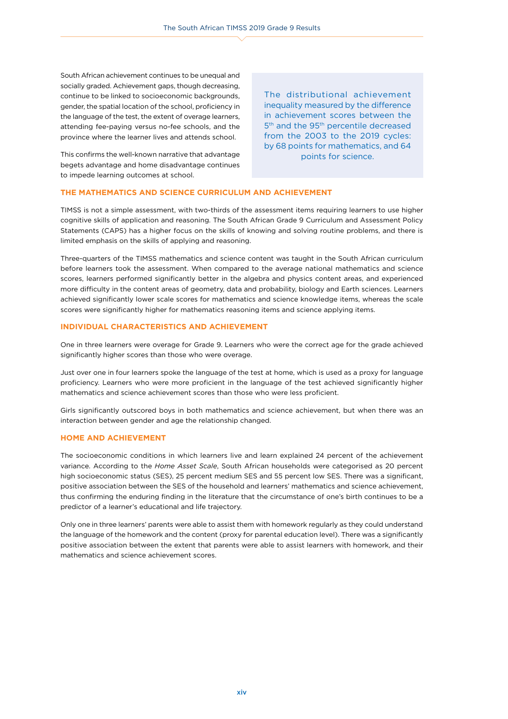South African achievement continues to be unequal and socially graded. Achievement gaps, though decreasing, continue to be linked to socioeconomic backgrounds, gender, the spatial location of the school, proficiency in the language of the test, the extent of overage learners, attending fee-paying versus no-fee schools, and the province where the learner lives and attends school.

This confirms the well-known narrative that advantage begets advantage and home disadvantage continues to impede learning outcomes at school.

The distributional achievement inequality measured by the difference in achievement scores between the 5<sup>th</sup> and the 95<sup>th</sup> percentile decreased from the 2003 to the 2019 cycles: by 68 points for mathematics, and 64 points for science.

# **THE MATHEMATICS AND SCIENCE CURRICULUM AND ACHIEVEMENT**

TIMSS is not a simple assessment, with two-thirds of the assessment items requiring learners to use higher cognitive skills of application and reasoning. The South African Grade 9 Curriculum and Assessment Policy Statements (CAPS) has a higher focus on the skills of knowing and solving routine problems, and there is limited emphasis on the skills of applying and reasoning.

Three-quarters of the TIMSS mathematics and science content was taught in the South African curriculum before learners took the assessment. When compared to the average national mathematics and science scores, learners performed significantly better in the algebra and physics content areas, and experienced more difficulty in the content areas of geometry, data and probability, biology and Earth sciences. Learners achieved significantly lower scale scores for mathematics and science knowledge items, whereas the scale scores were significantly higher for mathematics reasoning items and science applying items.

# **INDIVIDUAL CHARACTERISTICS AND ACHIEVEMENT**

One in three learners were overage for Grade 9. Learners who were the correct age for the grade achieved significantly higher scores than those who were overage.

Just over one in four learners spoke the language of the test at home, which is used as a proxy for language proficiency. Learners who were more proficient in the language of the test achieved significantly higher mathematics and science achievement scores than those who were less proficient.

Girls significantly outscored boys in both mathematics and science achievement, but when there was an interaction between gender and age the relationship changed.

### **HOME AND ACHIEVEMENT**

The socioeconomic conditions in which learners live and learn explained 24 percent of the achievement variance. According to the *Home Asset Scale*, South African households were categorised as 20 percent high socioeconomic status (SES), 25 percent medium SES and 55 percent low SES. There was a significant, positive association between the SES of the household and learners' mathematics and science achievement, thus confirming the enduring finding in the literature that the circumstance of one's birth continues to be a predictor of a learner's educational and life trajectory.

Only one in three learners' parents were able to assist them with homework regularly as they could understand the language of the homework and the content (proxy for parental education level). There was a significantly positive association between the extent that parents were able to assist learners with homework, and their mathematics and science achievement scores.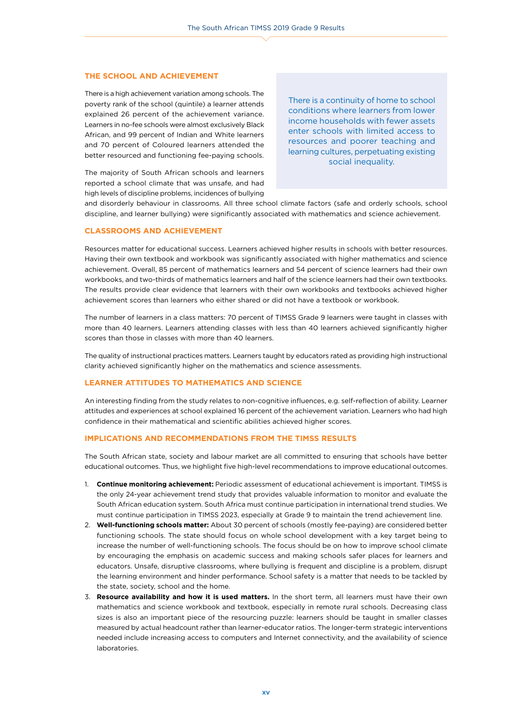#### **THE SCHOOL AND ACHIEVEMENT**

There is a high achievement variation among schools. The poverty rank of the school (quintile) a learner attends explained 26 percent of the achievement variance. Learners in no-fee schools were almost exclusively Black African, and 99 percent of Indian and White learners and 70 percent of Coloured learners attended the better resourced and functioning fee-paying schools.

There is a continuity of home to school conditions where learners from lower income households with fewer assets enter schools with limited access to resources and poorer teaching and learning cultures, perpetuating existing social inequality.

The majority of South African schools and learners reported a school climate that was unsafe, and had high levels of discipline problems, incidences of bullying

and disorderly behaviour in classrooms. All three school climate factors (safe and orderly schools, school discipline, and learner bullying) were significantly associated with mathematics and science achievement.

# **CLASSROOMS AND ACHIEVEMENT**

Resources matter for educational success. Learners achieved higher results in schools with better resources. Having their own textbook and workbook was significantly associated with higher mathematics and science achievement. Overall, 85 percent of mathematics learners and 54 percent of science learners had their own workbooks, and two-thirds of mathematics learners and half of the science learners had their own textbooks. The results provide clear evidence that learners with their own workbooks and textbooks achieved higher achievement scores than learners who either shared or did not have a textbook or workbook.

The number of learners in a class matters: 70 percent of TIMSS Grade 9 learners were taught in classes with more than 40 learners. Learners attending classes with less than 40 learners achieved significantly higher scores than those in classes with more than 40 learners.

The quality of instructional practices matters. Learners taught by educators rated as providing high instructional clarity achieved significantly higher on the mathematics and science assessments.

# **LEARNER ATTITUDES TO MATHEMATICS AND SCIENCE**

An interesting finding from the study relates to non-cognitive influences, e.g. self-reflection of ability. Learner attitudes and experiences at school explained 16 percent of the achievement variation. Learners who had high confidence in their mathematical and scientific abilities achieved higher scores.

# **IMPLICATIONS AND RECOMMENDATIONS FROM THE TIMSS RESULTS**

The South African state, society and labour market are all committed to ensuring that schools have better educational outcomes. Thus, we highlight five high-level recommendations to improve educational outcomes.

- 1. **Continue monitoring achievement:** Periodic assessment of educational achievement is important. TIMSS is the only 24-year achievement trend study that provides valuable information to monitor and evaluate the South African education system. South Africa must continue participation in international trend studies. We must continue participation in TIMSS 2023, especially at Grade 9 to maintain the trend achievement line.
- 2. **Well-functioning schools matter:** About 30 percent of schools (mostly fee-paying) are considered better functioning schools. The state should focus on whole school development with a key target being to increase the number of well-functioning schools. The focus should be on how to improve school climate by encouraging the emphasis on academic success and making schools safer places for learners and educators. Unsafe, disruptive classrooms, where bullying is frequent and discipline is a problem, disrupt the learning environment and hinder performance. School safety is a matter that needs to be tackled by the state, society, school and the home.
- 3. **Resource availability and how it is used matters.** In the short term, all learners must have their own mathematics and science workbook and textbook, especially in remote rural schools. Decreasing class sizes is also an important piece of the resourcing puzzle: learners should be taught in smaller classes measured by actual headcount rather than learner-educator ratios. The longer-term strategic interventions needed include increasing access to computers and Internet connectivity, and the availability of science laboratories.